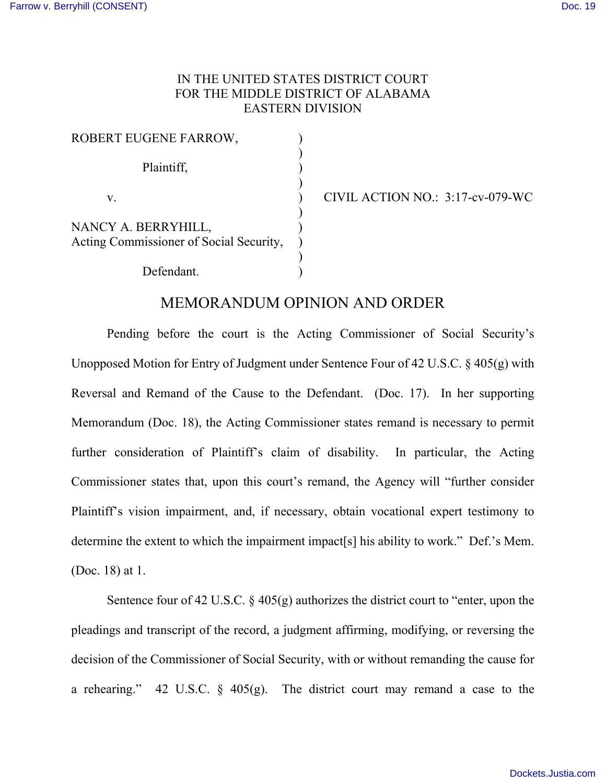## IN THE UNITED STATES DISTRICT COURT FOR THE MIDDLE DISTRICT OF ALABAMA EASTERN DIVISION

| ROBERT EUGENE FARROW,                   |  |
|-----------------------------------------|--|
|                                         |  |
| Plaintiff,                              |  |
|                                         |  |
| V.                                      |  |
|                                         |  |
| NANCY A. BERRYHILL,                     |  |
| Acting Commissioner of Social Security, |  |
|                                         |  |
| Defendant.                              |  |

CIVIL ACTION NO.:  $3:17$ -cv-079-WC

## MEMORANDUM OPINION AND ORDER

 Pending before the court is the Acting Commissioner of Social Security's Unopposed Motion for Entry of Judgment under Sentence Four of 42 U.S.C. § 405(g) with Reversal and Remand of the Cause to the Defendant. (Doc. 17). In her supporting Memorandum (Doc. 18), the Acting Commissioner states remand is necessary to permit further consideration of Plaintiff's claim of disability. In particular, the Acting Commissioner states that, upon this court's remand, the Agency will "further consider Plaintiff's vision impairment, and, if necessary, obtain vocational expert testimony to determine the extent to which the impairment impact[s] his ability to work." Def.'s Mem. (Doc. 18) at 1.

Sentence four of 42 U.S.C.  $\S$  405(g) authorizes the district court to "enter, upon the pleadings and transcript of the record, a judgment affirming, modifying, or reversing the decision of the Commissioner of Social Security, with or without remanding the cause for a rehearing." 42 U.S.C.  $\S$  405(g). The district court may remand a case to the